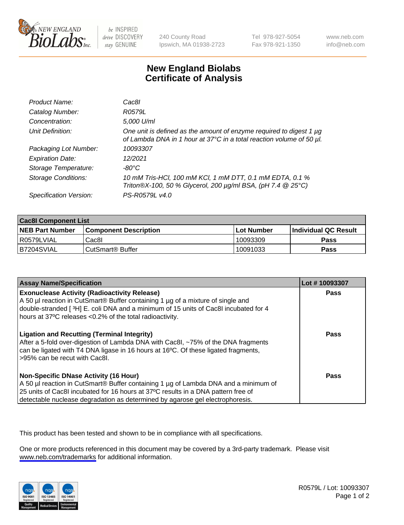

be INSPIRED drive DISCOVERY stay GENUINE

240 County Road Ipswich, MA 01938-2723 Tel 978-927-5054 Fax 978-921-1350

www.neb.com info@neb.com

## **New England Biolabs Certificate of Analysis**

| Product Name:              | Cac8I                                                                                                                                       |
|----------------------------|---------------------------------------------------------------------------------------------------------------------------------------------|
| Catalog Number:            | R0579L                                                                                                                                      |
| Concentration:             | 5,000 U/ml                                                                                                                                  |
| Unit Definition:           | One unit is defined as the amount of enzyme required to digest 1 µg<br>of Lambda DNA in 1 hour at 37°C in a total reaction volume of 50 µl. |
| Packaging Lot Number:      | 10093307                                                                                                                                    |
| <b>Expiration Date:</b>    | 12/2021                                                                                                                                     |
| Storage Temperature:       | $-80^{\circ}$ C                                                                                                                             |
| <b>Storage Conditions:</b> | 10 mM Tris-HCl, 100 mM KCl, 1 mM DTT, 0.1 mM EDTA, 0.1 %<br>Triton®X-100, 50 % Glycerol, 200 µg/ml BSA, (pH 7.4 @ 25°C)                     |
| Specification Version:     | PS-R0579L v4.0                                                                                                                              |

| <b>Cac8I Component List</b> |                              |              |                             |  |
|-----------------------------|------------------------------|--------------|-----------------------------|--|
| <b>NEB Part Number</b>      | <b>Component Description</b> | l Lot Number | <b>Individual QC Result</b> |  |
| l R0579LVIAL                | Cac8I                        | 10093309     | <b>Pass</b>                 |  |
| B7204SVIAL                  | CutSmart <sup>®</sup> Buffer | 10091033     | Pass                        |  |

| <b>Assay Name/Specification</b>                                                                                                                                                                                                                                                                           | Lot #10093307 |
|-----------------------------------------------------------------------------------------------------------------------------------------------------------------------------------------------------------------------------------------------------------------------------------------------------------|---------------|
| <b>Exonuclease Activity (Radioactivity Release)</b><br>A 50 µl reaction in CutSmart® Buffer containing 1 µg of a mixture of single and<br>double-stranded [3H] E. coli DNA and a minimum of 15 units of Cac8I incubated for 4<br>hours at 37°C releases <0.2% of the total radioactivity.                 | <b>Pass</b>   |
| <b>Ligation and Recutting (Terminal Integrity)</b><br>After a 5-fold over-digestion of Lambda DNA with Cac8I, ~75% of the DNA fragments<br>can be ligated with T4 DNA ligase in 16 hours at 16°C. Of these ligated fragments,<br>>95% can be recut with Cac8I.                                            | <b>Pass</b>   |
| <b>Non-Specific DNase Activity (16 Hour)</b><br>A 50 µl reaction in CutSmart® Buffer containing 1 µg of Lambda DNA and a minimum of<br>25 units of Cac8I incubated for 16 hours at 37°C results in a DNA pattern free of<br>detectable nuclease degradation as determined by agarose gel electrophoresis. | <b>Pass</b>   |

This product has been tested and shown to be in compliance with all specifications.

One or more products referenced in this document may be covered by a 3rd-party trademark. Please visit <www.neb.com/trademarks>for additional information.